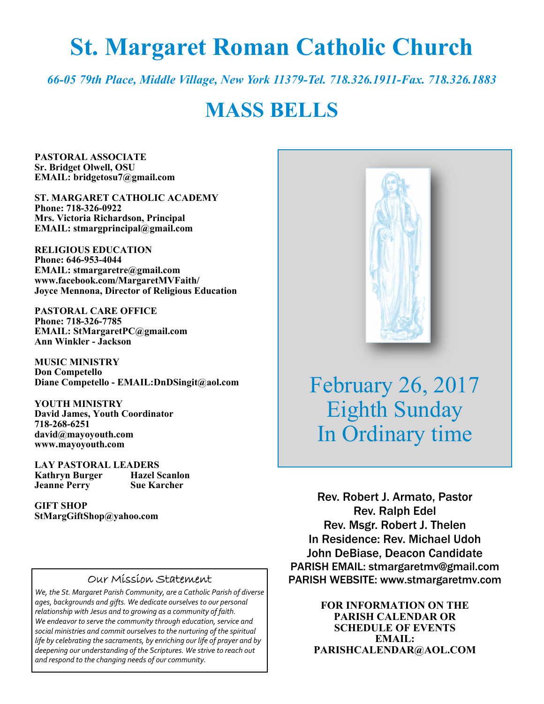# **St. Margaret Roman Catholic Church**

*66-05 79th Place, Middle Village, New York 11379-Tel. 718.326.1911-Fax. 718.326.1883* 

## **MASS BELLS**

**PASTORAL ASSOCIATE Sr. Bridget Olwell, OSU EMAIL: bridgetosu7@gmail.com** 

**ST. MARGARET CATHOLIC ACADEMY Phone: 718-326-0922 Mrs. Victoria Richardson, Principal EMAIL: stmargprincipal@gmail.com** 

**RELIGIOUS EDUCATION Phone: 646-953-4044 EMAIL: stmargaretre@gmail.com www.facebook.com/MargaretMVFaith/ Joyce Mennona, Director of Religious Education** 

**PASTORAL CARE OFFICE Phone: 718-326-7785 EMAIL: StMargaretPC@gmail.com Ann Winkler - Jackson** 

**MUSIC MINISTRY Don Competello Diane Competello - EMAIL:DnDSingit@aol.com** 

**YOUTH MINISTRY David James, Youth Coordinator 718-268-6251 david@mayoyouth.com www.mayoyouth.com** 

**LAY PASTORAL LEADERS Kathryn Burger Jeanne Perry Sue Karcher** 

**GIFT SHOP StMargGiftShop@yahoo.com**

#### Our Mission Statement

*We, the St. Margaret Parish Community, are a Catholic Parish of diverse ages, backgrounds and gifts. We dedicate ourselves to our personal relationship with Jesus and to growing as a community of faith. We endeavor to serve the community through education, service and social ministries and commit ourselves to the nurturing of the spiritual life by celebrating the sacraments, by enriching our life of prayer and by deepening our understanding of the Scriptures. We strive to reach out and respond to the changing needs of our community.*



February 26, 2017 Eighth Sunday In Ordinary time

Rev. Robert J. Armato, Pastor Rev. Ralph Edel Rev. Msgr. Robert J. Thelen In Residence: Rev. Michael Udoh John DeBiase, Deacon Candidate PARISH EMAIL: stmargaretmv@gmail.com PARISH WEBSITE: www.stmargaretmv.com

> **FOR INFORMATION ON THE PARISH CALENDAR OR SCHEDULE OF EVENTS EMAIL: PARISHCALENDAR@AOL.COM**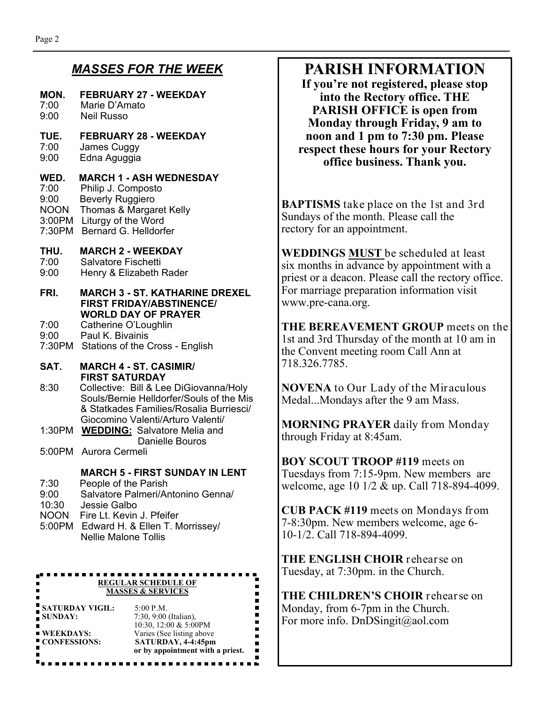#### *MASSES FOR THE WEEK*

#### **MON. FEBRUARY 27 - WEEKDAY**  7:00 Marie D'Amato

9:00 Neil Russo

#### **TUE. FEBRUARY 28 - WEEKDAY**

- 7:00 James Cuggy 9:00 Edna Aguggia
- 

## **WED. MARCH 1 - ASH WEDNESDAY**<br>7:00 Philip J. Composto

Philip J. Composto

9:00 Beverly Ruggiero NOON Thomas & Margaret Kelly

3:00PM Liturgy of the Word

7:30PM Bernard G. Helldorfer

## **THU. MARCH 2 - WEEKDAY**

- Salvatore Fischetti
- 9:00 Henry & Elizabeth Rader
- **FRI. MARCH 3 ST. KATHARINE DREXEL FIRST FRIDAY/ABSTINENCE/ WORLD DAY OF PRAYER**

7:00 Catherine O'Loughlin

- 9:00 Paul K. Bivainis
- 7:30PM Stations of the Cross English

#### **SAT. MARCH 4 - ST. CASIMIR/ FIRST SATURDAY**

- 8:30 Collective: Bill & Lee DiGiovanna/Holy Souls/Bernie Helldorfer/Souls of the Mis & Statkades Families/Rosalia Burriesci/ Giocomino Valenti/Arturo Valenti/
- 1:30PM **WEDDING:** Salvatore Melia and Danielle Bouros
- 5:00PM Aurora Cermeli

#### **MARCH 5 - FIRST SUNDAY IN LENT**

- 7:30 People of the Parish
- 9:00 Salvatore Palmeri/Antonino Genna/
- 10:30 Jessie Galbo
- NOON Fire Lt. Kevin J. Pfeifer
- 5:00PM Edward H. & Ellen T. Morrissey/ Nellie Malone Tollis

#### . . . . . . . . . . . . **REGULAR SCHEDULE OF MASSES & SERVICES**

|                        | or by appointment with a priest. |
|------------------------|----------------------------------|
| CONFESSIONS:           | SATURDAY, 4-4:45pm               |
| <b>WEEKDAYS:</b>       | Varies (See listing above        |
|                        | 10:30, 12:00 & 5:00PM            |
| SUNDAY:                | $7:30, 9:00$ (Italian),          |
| <b>SATURDAY VIGIL:</b> | 5:00 P.M.                        |

## **PARISH INFORMATION**

**If you're not registered, please stop into the Rectory office. THE PARISH OFFICE is open from Monday through Friday, 9 am to noon and 1 pm to 7:30 pm. Please respect these hours for your Rectory office business. Thank you.** 

**BAPTISMS** take place on the 1st and 3rd Sundays of the month. Please call the rectory for an appointment.

**WEDDINGS MUST** be scheduled at least six months in advance by appointment with a priest or a deacon. Please call the rectory office. For marriage preparation information visit www.pre-cana.org.

**THE BEREAVEMENT GROUP** meets on the 1st and 3rd Thursday of the month at 10 am in the Convent meeting room Call Ann at 718.326.7785.

**NOVENA** to Our Lady of the Miraculous Medal...Mondays after the 9 am Mass.

**MORNING PRAYER** daily from Monday through Friday at 8:45am.

**BOY SCOUT TROOP #119** meets on Tuesdays from 7:15-9pm. New members are welcome, age 10 1/2 & up. Call 718-894-4099.

**CUB PACK #119** meets on Mondays from 7-8:30pm. New members welcome, age 6- 10-1/2. Call 718-894-4099.

**THE ENGLISH CHOIR** rehearse on Tuesday, at 7:30pm. in the Church.

**THE CHILDREN'S CHOIR** rehearse on Monday, from 6-7pm in the Church. For more info. DnDSingit@aol.com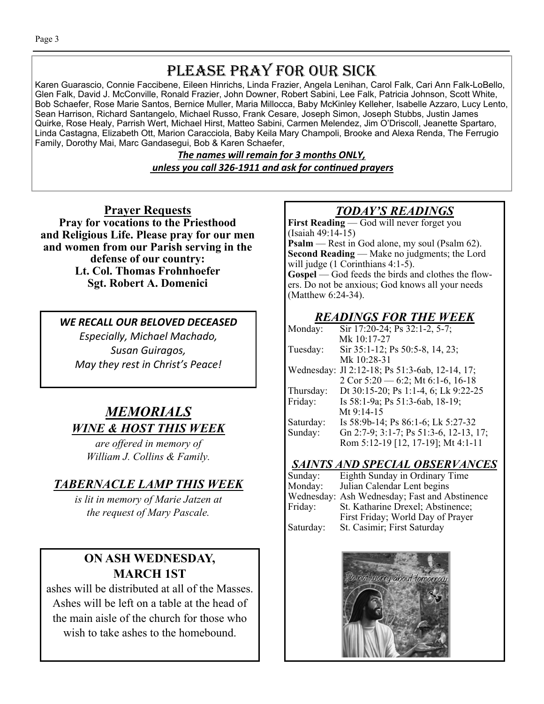## PLEASE PRAY FOR OUR SICK

Karen Guarascio, Connie Faccibene, Eileen Hinrichs, Linda Frazier, Angela Lenihan, Carol Falk, Cari Ann Falk-LoBello, Glen Falk, David J. McConville, Ronald Frazier, John Downer, Robert Sabini, Lee Falk, Patricia Johnson, Scott White, Bob Schaefer, Rose Marie Santos, Bernice Muller, Maria Millocca, Baby McKinley Kelleher, Isabelle Azzaro, Lucy Lento, Sean Harrison, Richard Santangelo, Michael Russo, Frank Cesare, Joseph Simon, Joseph Stubbs, Justin James Quirke, Rose Healy, Parrish Wert, Michael Hirst, Matteo Sabini, Carmen Melendez, Jim O'Driscoll, Jeanette Spartaro, Linda Castagna, Elizabeth Ott, Marion Caracciola, Baby Keila Mary Champoli, Brooke and Alexa Renda, The Ferrugio Family, Dorothy Mai, Marc Gandasegui, Bob & Karen Schaefer,

> *The names will remain for 3 months ONLY, unless you call 326-1911 and ask for conƟnued prayers*

**Prayer Requests Pray for vocations to the Priesthood and Religious Life. Please pray for our men and women from our Parish serving in the defense of our country: Lt. Col. Thomas Frohnhoefer Sgt. Robert A. Domenici** 

*WE RECALL OUR BELOVED DECEASED Especially, Michael Machado, Susan Guiragos, May they rest in Christ's Peace!* 

## *MEMORIALS WINE & HOST THIS WEEK*

*are offered in memory of William J. Collins & Family.* 

## *TABERNACLE LAMP THIS WEEK*

*is lit in memory of Marie Jatzen at the request of Mary Pascale.* 

## **ON ASH WEDNESDAY, MARCH 1ST**

ashes will be distributed at all of the Masses. Ashes will be left on a table at the head of the main aisle of the church for those who wish to take ashes to the homebound.

## *TODAY'S READINGS*

**First Reading** — God will never forget you (Isaiah 49:14-15) **Psalm** — Rest in God alone, my soul (Psalm 62). **Second Reading** — Make no judgments; the Lord will judge (1 Corinthians 4:1-5). **Gospel** — God feeds the birds and clothes the flowers. Do not be anxious; God knows all your needs (Matthew 6:24-34).

## *READINGS FOR THE WEEK*

| Monday:   | Sir 17:20-24; Ps 32:1-2, 5-7;                  |
|-----------|------------------------------------------------|
|           | Mk 10:17-27                                    |
| Tuesday:  | Sir 35:1-12; Ps 50:5-8, 14, 23;                |
|           | Mk 10:28-31                                    |
|           | Wednesday: J1 2:12-18; Ps 51:3-6ab, 12-14, 17; |
|           | 2 Cor $5:20 - 6:2$ ; Mt $6:1-6$ , 16-18        |
| Thursday: | Dt 30:15-20; Ps 1:1-4, 6; Lk 9:22-25           |
| Friday:   | Is 58:1-9a; Ps 51:3-6ab, 18-19;                |
|           | Mt 9:14-15                                     |
| Saturday: | Is 58:9b-14; Ps 86:1-6; Lk 5:27-32             |
| Sunday:   | Gn 2:7-9; 3:1-7; Ps 51:3-6, 12-13, 17;         |
|           | Rom 5:12-19 [12, 17-19]; Mt 4:1-11             |

## *SAINTS AND SPECIAL OBSERVANCES*

| Sunday:   | Eighth Sunday in Ordinary Time                |
|-----------|-----------------------------------------------|
| Monday:   | Julian Calendar Lent begins                   |
|           | Wednesday: Ash Wednesday; Fast and Abstinence |
| Friday:   | St. Katharine Drexel; Abstinence;             |
|           | First Friday; World Day of Prayer             |
| Saturday: | St. Casimir; First Saturday                   |

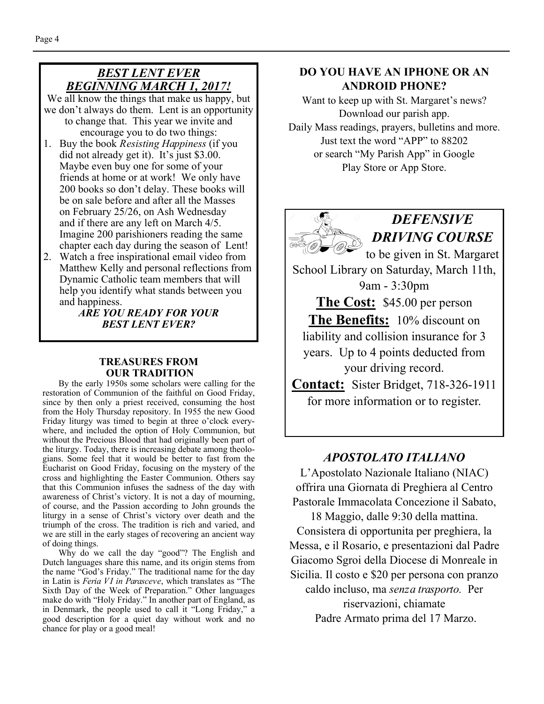#### *BEST LENT EVER BEGINNING MARCH 1, 2017!*

We all know the things that make us happy, but we don't always do them. Lent is an opportunity to change that. This year we invite and encourage you to do two things:

- 1. Buy the book *Resisting Happiness* (if you did not already get it). It's just \$3.00. Maybe even buy one for some of your friends at home or at work! We only have 200 books so don't delay. These books will be on sale before and after all the Masses on February 25/26, on Ash Wednesday and if there are any left on March 4/5. Imagine 200 parishioners reading the same chapter each day during the season of Lent!
- 2. Watch a free inspirational email video from Matthew Kelly and personal reflections from Dynamic Catholic team members that will help you identify what stands between you and happiness.

*ARE YOU READY FOR YOUR BEST LENT EVER?* 

#### **TREASURES FROM OUR TRADITION**

By the early 1950s some scholars were calling for the restoration of Communion of the faithful on Good Friday, since by then only a priest received, consuming the host from the Holy Thursday repository. In 1955 the new Good Friday liturgy was timed to begin at three o'clock everywhere, and included the option of Holy Communion, but without the Precious Blood that had originally been part of the liturgy. Today, there is increasing debate among theologians. Some feel that it would be better to fast from the Eucharist on Good Friday, focusing on the mystery of the cross and highlighting the Easter Communion. Others say that this Communion infuses the sadness of the day with awareness of Christ's victory. It is not a day of mourning, of course, and the Passion according to John grounds the liturgy in a sense of Christ's victory over death and the triumph of the cross. The tradition is rich and varied, and we are still in the early stages of recovering an ancient way of doing things.

 Why do we call the day "good"? The English and Dutch languages share this name, and its origin stems from the name "God's Friday." The traditional name for the day in Latin is *Feria VI in Parasceve*, which translates as "The Sixth Day of the Week of Preparation." Other languages make do with "Holy Friday." In another part of England, as in Denmark, the people used to call it "Long Friday," a good description for a quiet day without work and no chance for play or a good meal!

#### **DO YOU HAVE AN IPHONE OR AN ANDROID PHONE?**

Want to keep up with St. Margaret's news? Download our parish app. Daily Mass readings, prayers, bulletins and more. Just text the word "APP" to 88202 or search "My Parish App" in Google Play Store or App Store.



*DEFENSIVE DRIVING COURSE*  to be given in St. Margaret

School Library on Saturday, March 11th, 9am - 3:30pm

**The Cost:** \$45.00 per person **The Benefits:** 10% discount on liability and collision insurance for 3 years. Up to 4 points deducted from your driving record.

**Contact:** Sister Bridget, 718-326-1911 for more information or to register.

#### *APOSTOLATO ITALIANO*

L'Apostolato Nazionale Italiano (NIAC) offrira una Giornata di Preghiera al Centro Pastorale Immacolata Concezione il Sabato,

18 Maggio, dalle 9:30 della mattina. Consistera di opportunita per preghiera, la Messa, e il Rosario, e presentazioni dal Padre Giacomo Sgroi della Diocese di Monreale in Sicilia. Il costo e \$20 per persona con pranzo caldo incluso, ma *senza trasporto.* Per riservazioni, chiamate Padre Armato prima del 17 Marzo.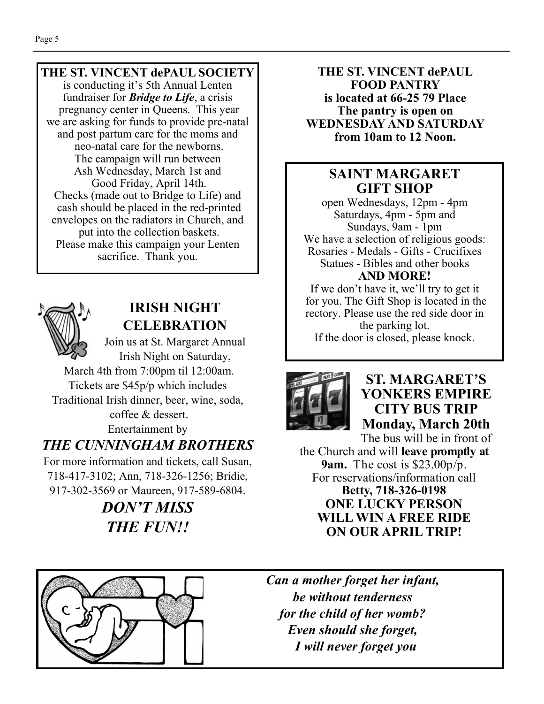#### **THE ST. VINCENT dePAUL SOCIETY**

is conducting it's 5th Annual Lenten fundraiser for *Bridge to Life*, a crisis pregnancy center in Queens. This year we are asking for funds to provide pre-natal and post partum care for the moms and neo-natal care for the newborns. The campaign will run between Ash Wednesday, March 1st and Good Friday, April 14th. Checks (made out to Bridge to Life) and cash should be placed in the red-printed envelopes on the radiators in Church, and put into the collection baskets. Please make this campaign your Lenten sacrifice. Thank you.



## **IRISH NIGHT CELEBRATION**

Join us at St. Margaret Annual Irish Night on Saturday, March 4th from 7:00pm til 12:00am.

Tickets are \$45p/p which includes Traditional Irish dinner, beer, wine, soda,

 coffee & dessert. Entertainment by

## *THE CUNNINGHAM BROTHERS*

For more information and tickets, call Susan, 718-417-3102; Ann, 718-326-1256; Bridie, 917-302-3569 or Maureen, 917-589-6804.

> *DON'T MISS THE FUN!!*

**THE ST. VINCENT dePAUL FOOD PANTRY is located at 66-25 79 Place The pantry is open on WEDNESDAY AND SATURDAY from 10am to 12 Noon.** 

### **SAINT MARGARET GIFT SHOP**

open Wednesdays, 12pm - 4pm Saturdays, 4pm - 5pm and Sundays, 9am - 1pm We have a selection of religious goods: Rosaries - Medals - Gifts - Crucifixes Statues - Bibles and other books **AND MORE!** 

If we don't have it, we'll try to get it for you. The Gift Shop is located in the rectory. Please use the red side door in the parking lot. If the door is closed, please knock.



## **ST. MARGARET'S YONKERS EMPIRE CITY BUS TRIP Monday, March 20th**

The bus will be in front of the Church and will **leave promptly at 9am.** The cost is \$23.00p/p. For reservations/information call **Betty, 718-326-0198 ONE LUCKY PERSON WILL WIN A FREE RIDE ON OUR APRIL TRIP!** 



*Can a mother forget her infant, be without tenderness for the child of her womb? Even should she forget, I will never forget you*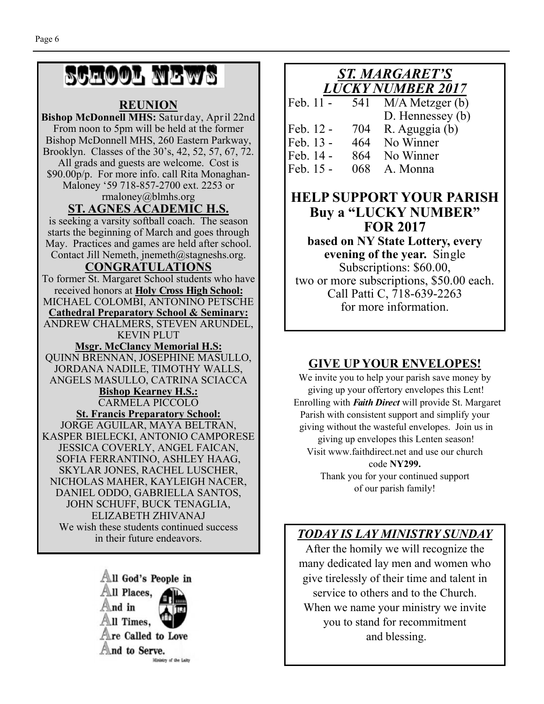# SCHOOL NEWS

#### **REUNION**

**Bishop McDonnell MHS:** Saturday, April 22nd From noon to 5pm will be held at the former Bishop McDonnell MHS, 260 Eastern Parkway, Brooklyn. Classes of the 30's, 42, 52, 57, 67, 72. All grads and guests are welcome. Cost is \$90.00p/p. For more info. call Rita Monaghan-Maloney '59 718-857-2700 ext. 2253 or rmaloney@blmhs.org **ST. AGNES ACADEMIC H.S.**  is seeking a varsity softball coach. The season starts the beginning of March and goes through May. Practices and games are held after school. Contact Jill Nemeth, jnemeth@stagneshs.org. **CONGRATULATIONS**  To former St. Margaret School students who have received honors at **Holy Cross High School:**  MICHAEL COLOMBI, ANTONINO PETSCHE **Cathedral Preparatory School & Seminary:**  ANDREW CHALMERS, STEVEN ARUNDEL, KEVIN PLUT **Msgr. McClancy Memorial H.S:**  QUINN BRENNAN, JOSEPHINE MASULLO, JORDANA NADILE, TIMOTHY WALLS, ANGELS MASULLO, CATRINA SCIACCA **Bishop Kearney H.S.:**  CARMELA PICCOLO **St. Francis Preparatory School:**  JORGE AGUILAR, MAYA BELTRAN, KASPER BIELECKI, ANTONIO CAMPORESE JESSICA COVERLY, ANGEL FAICAN, SOFIA FERRANTINO, ASHLEY HAAG, SKYLAR JONES, RACHEL LUSCHER, NICHOLAS MAHER, KAYLEIGH NACER, DANIEL ODDO, GABRIELLA SANTOS, JOHN SCHUFF, BUCK TENAGLIA, ELIZABETH ZHIVANAJ We wish these students continued success in their future endeavors.



#### *ST. MARGARET'S LUCKY NUMBER 2017*

| Feb. 11 - | 541 | $M/A$ Metzger $(b)$ |
|-----------|-----|---------------------|
|           |     | D. Hennessey (b)    |
| Feb. 12 - |     | 704 R. Aguggia (b)  |
| Feb. 13 - |     | 464 No Winner       |
| Feb. 14 - |     | 864 No Winner       |
| Feb. 15 - |     | 068 A. Monna        |

### **HELP SUPPORT YOUR PARISH Buy a "LUCKY NUMBER" FOR 2017**

**based on NY State Lottery, every evening of the year.** Single Subscriptions: \$60.00, two or more subscriptions, \$50.00 each. Call Patti C, 718-639-2263 for more information.

### **GIVE UP YOUR ENVELOPES!**

We invite you to help your parish save money by giving up your offertory envelopes this Lent! Enrolling with *Faith Direct* will provide St. Margaret Parish with consistent support and simplify your giving without the wasteful envelopes. Join us in giving up envelopes this Lenten season! Visit www.faithdirect.net and use our church code **NY299.**  Thank you for your continued support of our parish family!

## *TODAY IS LAY MINISTRY SUNDAY*

After the homily we will recognize the many dedicated lay men and women who give tirelessly of their time and talent in service to others and to the Church. When we name your ministry we invite you to stand for recommitment and blessing.